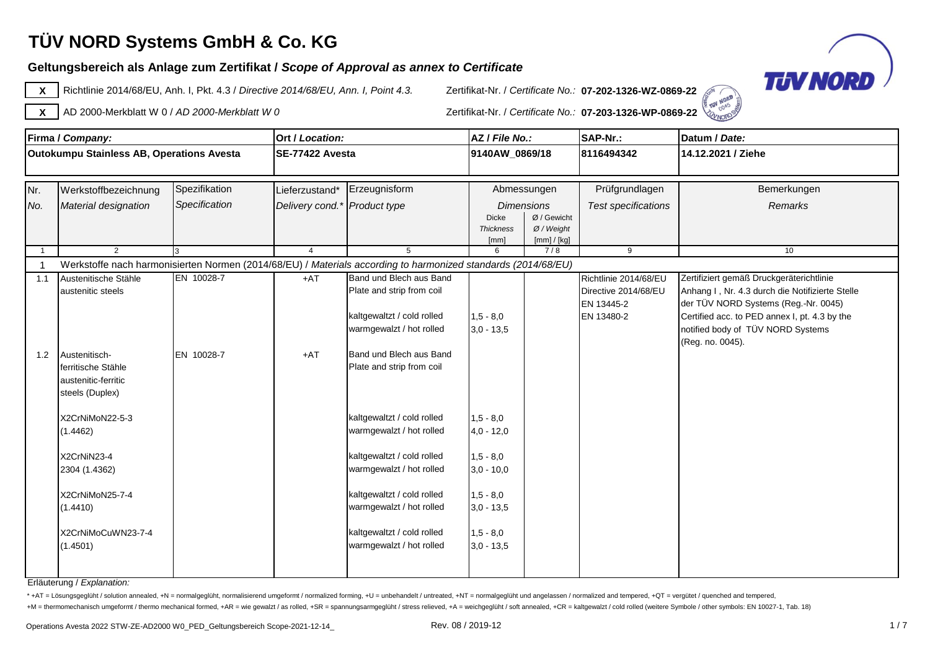### **Geltungsbereich als Anlage zum Zertifikat /** *Scope of Approval as annex to Certificate*



**X** Richtlinie 2014/68/EU, Anh. I, Pkt. 4.3 / *Directive 2014/68/EU, Ann. I, Point 4.3.* Zertifikat-Nr. / *Certificate No.:* **07-202-1326-WZ-0869-22**



**TON NORD SON X** AD 2000-Merkblatt W 0 / *AD 2000-Merkblatt W 0* Zertifikat-Nr. / *Certificate No.:* **07-203-1326-WP-0869-22**

|                | Firma / Company:                          |               | Ort / Location:              |                                                                                                               | AZ / File No.:                   |                             | SAP-Nr.:                   | Datum / Date:                                                                         |
|----------------|-------------------------------------------|---------------|------------------------------|---------------------------------------------------------------------------------------------------------------|----------------------------------|-----------------------------|----------------------------|---------------------------------------------------------------------------------------|
|                | Outokumpu Stainless AB, Operations Avesta |               | <b>ISE-77422 Avesta</b>      | 9140AW_0869/18                                                                                                |                                  |                             | 8116494342                 | 14.12.2021 / Ziehe                                                                    |
|                |                                           |               |                              |                                                                                                               |                                  |                             |                            |                                                                                       |
| Nr.            | Werkstoffbezeichnung                      | Spezifikation | Lieferzustand*               | Erzeugnisform                                                                                                 |                                  | Abmessungen                 | Prüfgrundlagen             | Bemerkungen                                                                           |
| No.            | Material designation                      | Specification | Delivery cond.* Product type |                                                                                                               |                                  | <b>Dimensions</b>           | <b>Test specifications</b> | <b>Remarks</b>                                                                        |
|                |                                           |               |                              |                                                                                                               | <b>Dicke</b><br><b>Thickness</b> | Ø / Gewicht<br>$Ø$ / Weight |                            |                                                                                       |
|                |                                           |               |                              |                                                                                                               | [mm]                             | [mm] / [kg]                 |                            |                                                                                       |
| $\overline{1}$ | $\mathcal{P}$                             |               | $\overline{4}$               | 5                                                                                                             | 6                                | 7/8                         | 9                          | 10                                                                                    |
|                |                                           |               |                              | Werkstoffe nach harmonisierten Normen (2014/68/EU) / Materials according to harmonized standards (2014/68/EU) |                                  |                             |                            |                                                                                       |
| 1.1            | Austenitische Stähle                      | EN 10028-7    | $+AT$                        | Band und Blech aus Band                                                                                       |                                  |                             | Richtlinie 2014/68/EU      | Zertifiziert gemäß Druckgeräterichtlinie                                              |
|                | austenitic steels                         |               |                              | Plate and strip from coil                                                                                     |                                  |                             | Directive 2014/68/EU       | Anhang I, Nr. 4.3 durch die Notifizierte Stelle                                       |
|                |                                           |               |                              | kaltgewaltzt / cold rolled                                                                                    | $1,5 - 8,0$                      |                             | EN 13445-2<br>EN 13480-2   | der TÜV NORD Systems (Reg.-Nr. 0045)<br>Certified acc. to PED annex I, pt. 4.3 by the |
|                |                                           |               |                              | warmgewalzt / hot rolled                                                                                      | $3,0 - 13,5$                     |                             |                            | notified body of TÜV NORD Systems                                                     |
|                |                                           |               |                              |                                                                                                               |                                  |                             |                            | (Reg. no. 0045).                                                                      |
| 1.2            | Austenitisch-                             | EN 10028-7    | $+AT$                        | Band und Blech aus Band                                                                                       |                                  |                             |                            |                                                                                       |
|                | ferritische Stähle                        |               |                              | Plate and strip from coil                                                                                     |                                  |                             |                            |                                                                                       |
|                | austenitic-ferritic                       |               |                              |                                                                                                               |                                  |                             |                            |                                                                                       |
|                | steels (Duplex)                           |               |                              |                                                                                                               |                                  |                             |                            |                                                                                       |
|                | X2CrNiMoN22-5-3                           |               |                              | kaltgewaltzt / cold rolled                                                                                    | $1,5 - 8,0$                      |                             |                            |                                                                                       |
|                | (1.4462)                                  |               |                              | warmgewalzt / hot rolled                                                                                      | $4,0 - 12,0$                     |                             |                            |                                                                                       |
|                |                                           |               |                              |                                                                                                               |                                  |                             |                            |                                                                                       |
|                | X2CrNiN23-4                               |               |                              | kaltgewaltzt / cold rolled                                                                                    | $1,5 - 8,0$                      |                             |                            |                                                                                       |
|                | 2304 (1.4362)                             |               |                              | warmgewalzt / hot rolled                                                                                      | $3,0 - 10,0$                     |                             |                            |                                                                                       |
|                | X2CrNiMoN25-7-4                           |               |                              | kaltgewaltzt / cold rolled                                                                                    | $1,5 - 8,0$                      |                             |                            |                                                                                       |
|                | (1.4410)                                  |               |                              | warmgewalzt / hot rolled                                                                                      | $3,0 - 13,5$                     |                             |                            |                                                                                       |
|                |                                           |               |                              |                                                                                                               |                                  |                             |                            |                                                                                       |
|                | X2CrNiMoCuWN23-7-4                        |               |                              | kaltgewaltzt / cold rolled                                                                                    | $1,5 - 8,0$                      |                             |                            |                                                                                       |
|                | (1.4501)                                  |               |                              | warmgewalzt / hot rolled                                                                                      | $3,0 - 13,5$                     |                             |                            |                                                                                       |
|                |                                           |               |                              |                                                                                                               |                                  |                             |                            |                                                                                       |
|                |                                           |               |                              |                                                                                                               |                                  |                             |                            |                                                                                       |

Erläuterung / *Explanation:*

\* +AT = Lösungsgeglüht / solution annealed, +N = normalgeglüht, normalisierend umgeformt / normalized forming, +U = unbehandelt / untreated, +NT = normalgeglüht und angelassen / normalized and tempered, +QT = vergütet / qu

+M = thermomechanisch umgeformt / thermo mechanical formed, +AR = wie gewalzt / as rolled, +SR = spannungsarmgeglüht / stress relieved, +A = weichgeglüht / soft annealed, +CR = kaltgewalzt / cold rolled (weitere Symbole /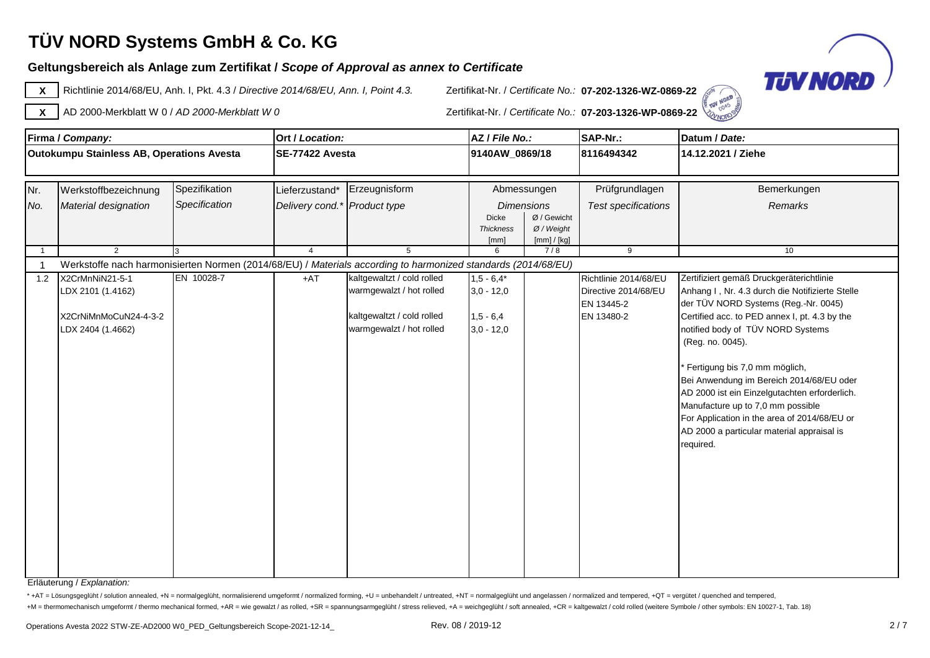### **Geltungsbereich als Anlage zum Zertifikat /** *Scope of Approval as annex to Certificate*



**X** Richtlinie 2014/68/EU, Anh. I, Pkt. 4.3 / *Directive 2014/68/EU, Ann. I, Point 4.3.* Zertifikat-Nr. / *Certificate No.:* **07-202-1326-WZ-0869-22**



**FON NORD SEA X** AD 2000-Merkblatt W 0 / *AD 2000-Merkblatt W 0* Zertifikat-Nr. / *Certificate No.:* **07-203-1326-WP-0869-22**

|                                           | Firma / Company:      |               | Ort / Location:              |                                                                                                               | AZ / File No.:                   |                             | SAP-Nr.:                   | Datum / Date:                                                                         |
|-------------------------------------------|-----------------------|---------------|------------------------------|---------------------------------------------------------------------------------------------------------------|----------------------------------|-----------------------------|----------------------------|---------------------------------------------------------------------------------------|
| Outokumpu Stainless AB, Operations Avesta |                       |               | SE-77422 Avesta              |                                                                                                               | 9140AW_0869/18                   |                             | 8116494342                 | 14.12.2021 / Ziehe                                                                    |
|                                           |                       |               |                              |                                                                                                               |                                  |                             |                            |                                                                                       |
| Nr.                                       | Werkstoffbezeichnung  | Spezifikation | Lieferzustand*               | Erzeugnisform                                                                                                 |                                  | Abmessungen                 | Prüfgrundlagen             | Bemerkungen                                                                           |
| No.                                       | Material designation  | Specification | Delivery cond.* Product type |                                                                                                               |                                  | <b>Dimensions</b>           | <b>Test specifications</b> | <b>Remarks</b>                                                                        |
|                                           |                       |               |                              |                                                                                                               | <b>Dicke</b><br><b>Thickness</b> | Ø / Gewicht<br>$Ø$ / Weight |                            |                                                                                       |
|                                           |                       |               |                              |                                                                                                               | [mm]                             | [mm] / [kg]                 |                            |                                                                                       |
|                                           | $\overline{2}$        | l3.           | $\overline{4}$               | 5                                                                                                             | 6                                | 7/8                         | 9                          | 10                                                                                    |
|                                           |                       |               |                              | Werkstoffe nach harmonisierten Normen (2014/68/EU) / Materials according to harmonized standards (2014/68/EU) |                                  |                             |                            |                                                                                       |
| 1.2                                       | X2CrMnNiN21-5-1       | EN 10028-7    | $+AT$                        | kaltgewaltzt / cold rolled                                                                                    | $1,5 - 6,4*$                     |                             | Richtlinie 2014/68/EU      | Zertifiziert gemäß Druckgeräterichtlinie                                              |
|                                           | LDX 2101 (1.4162)     |               |                              | warmgewalzt / hot rolled                                                                                      | $3,0 - 12,0$                     |                             | Directive 2014/68/EU       | Anhang I, Nr. 4.3 durch die Notifizierte Stelle                                       |
|                                           | X2CrNiMnMoCuN24-4-3-2 |               |                              | kaltgewaltzt / cold rolled                                                                                    | $1,5 - 6,4$                      |                             | EN 13445-2<br>EN 13480-2   | der TÜV NORD Systems (Reg.-Nr. 0045)<br>Certified acc. to PED annex I, pt. 4.3 by the |
|                                           | LDX 2404 (1.4662)     |               |                              | warmgewalzt / hot rolled                                                                                      | $3,0 - 12,0$                     |                             |                            | notified body of TÜV NORD Systems                                                     |
|                                           |                       |               |                              |                                                                                                               |                                  |                             |                            | (Reg. no. 0045).                                                                      |
|                                           |                       |               |                              |                                                                                                               |                                  |                             |                            |                                                                                       |
|                                           |                       |               |                              |                                                                                                               |                                  |                             |                            | Fertigung bis 7,0 mm möglich,                                                         |
|                                           |                       |               |                              |                                                                                                               |                                  |                             |                            | Bei Anwendung im Bereich 2014/68/EU oder                                              |
|                                           |                       |               |                              |                                                                                                               |                                  |                             |                            | AD 2000 ist ein Einzelgutachten erforderlich.                                         |
|                                           |                       |               |                              |                                                                                                               |                                  |                             |                            | Manufacture up to 7,0 mm possible<br>For Application in the area of 2014/68/EU or     |
|                                           |                       |               |                              |                                                                                                               |                                  |                             |                            | AD 2000 a particular material appraisal is                                            |
|                                           |                       |               |                              |                                                                                                               |                                  |                             |                            | required.                                                                             |
|                                           |                       |               |                              |                                                                                                               |                                  |                             |                            |                                                                                       |
|                                           |                       |               |                              |                                                                                                               |                                  |                             |                            |                                                                                       |
|                                           |                       |               |                              |                                                                                                               |                                  |                             |                            |                                                                                       |
|                                           |                       |               |                              |                                                                                                               |                                  |                             |                            |                                                                                       |
|                                           |                       |               |                              |                                                                                                               |                                  |                             |                            |                                                                                       |
|                                           |                       |               |                              |                                                                                                               |                                  |                             |                            |                                                                                       |
|                                           |                       |               |                              |                                                                                                               |                                  |                             |                            |                                                                                       |
|                                           |                       |               |                              |                                                                                                               |                                  |                             |                            |                                                                                       |
|                                           |                       |               |                              |                                                                                                               |                                  |                             |                            |                                                                                       |

Erläuterung / *Explanation:*

\* +AT = Lösungsgeglüht / solution annealed, +N = normalgeglüht, normalisierend umgeformt / normalized forming, +U = unbehandelt / untreated, +NT = normalgeglüht und angelassen / normalized and tempered, +QT = vergütet / qu

+M = thermomechanisch umgeformt / thermo mechanical formed, +AR = wie gewalzt / as rolled, +SR = spannungsarmgeglüht / stress relieved, +A = weichgeglüht / soft annealed, +CR = kaltgewalzt / cold rolled (weitere Symbole /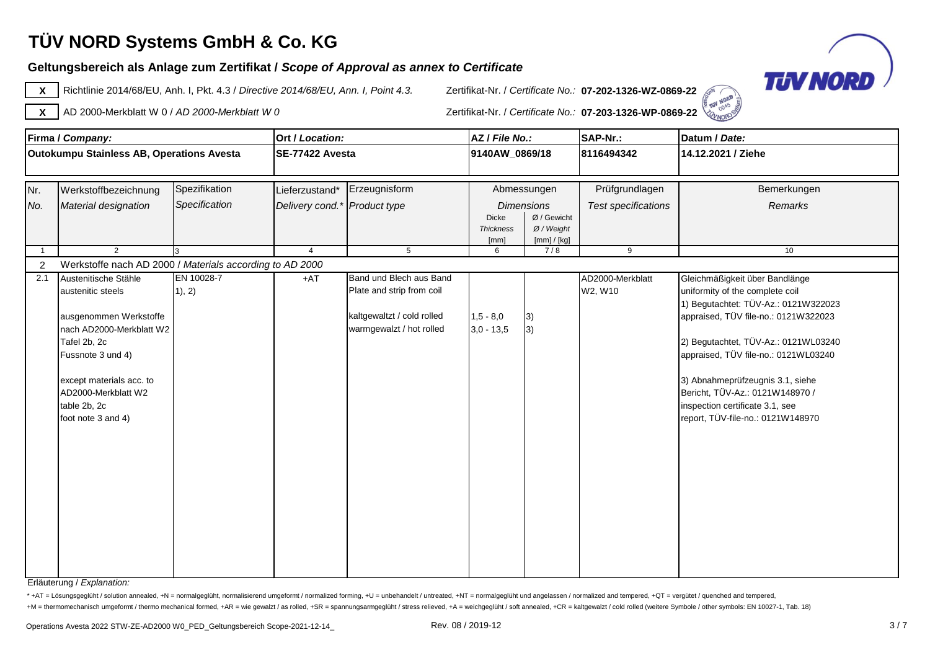#### **Geltungsbereich als Anlage zum Zertifikat /** *Scope of Approval as annex to Certificate*



**X** Richtlinie 2014/68/EU, Anh. I, Pkt. 4.3 / *Directive 2014/68/EU, Ann. I, Point 4.3.* Zertifikat-Nr. / *Certificate No.:* **07-202-1326-WZ-0869-22**



NORD SE **X** AD 2000-Merkblatt W 0 / *AD 2000-Merkblatt W 0* Zertifikat-Nr. / *Certificate No.:* **07-203-1326-WP-0869-22**

| Firma / Company:                                 |                                                                                                                                                                                                                                                                                                                       |                                                        | Ort / Location:                                                           |                                                                                                                                      | AZ / File No.:                                                        |                                                                                                   | SAP-Nr.:                                                                  | Datum / Date:                                                                                                                                                                                                                                                                                                                            |
|--------------------------------------------------|-----------------------------------------------------------------------------------------------------------------------------------------------------------------------------------------------------------------------------------------------------------------------------------------------------------------------|--------------------------------------------------------|---------------------------------------------------------------------------|--------------------------------------------------------------------------------------------------------------------------------------|-----------------------------------------------------------------------|---------------------------------------------------------------------------------------------------|---------------------------------------------------------------------------|------------------------------------------------------------------------------------------------------------------------------------------------------------------------------------------------------------------------------------------------------------------------------------------------------------------------------------------|
| <b>Outokumpu Stainless AB, Operations Avesta</b> |                                                                                                                                                                                                                                                                                                                       |                                                        | SE-77422 Avesta                                                           |                                                                                                                                      | 9140AW_0869/18                                                        |                                                                                                   | 8116494342                                                                | 14.12.2021 / Ziehe                                                                                                                                                                                                                                                                                                                       |
| Nr.<br>No.<br>$\overline{2}$<br>2.1              | Werkstoffbezeichnung<br>Material designation<br>$\overline{2}$<br>Werkstoffe nach AD 2000 / Materials according to AD 2000<br>Austenitische Stähle<br>austenitic steels<br>ausgenommen Werkstoffe<br>nach AD2000-Merkblatt W2<br>Tafel 2b, 2c<br>Fussnote 3 und 4)<br>except materials acc. to<br>AD2000-Merkblatt W2 | Spezifikation<br>Specification<br>EN 10028-7<br>1), 2) | Lieferzustand*<br>Delivery cond.* Product type<br>$\overline{4}$<br>$+AT$ | Erzeugnisform<br>5<br>Band und Blech aus Band<br>Plate and strip from coil<br>kaltgewaltzt / cold rolled<br>warmgewalzt / hot rolled | Dicke<br><b>Thickness</b><br>[mm]<br>6<br>$1,5 - 8,0$<br>$3,0 - 13,5$ | Abmessungen<br><b>Dimensions</b><br>Ø / Gewicht<br>$Ø$ / Weight<br>[mm] / [kg]<br>7/8<br>3)<br>3) | Prüfgrundlagen<br>Test specifications<br>9<br>AD2000-Merkblatt<br>W2, W10 | Bemerkungen<br>Remarks<br>10<br>Gleichmäßigkeit über Bandlänge<br>uniformity of the complete coil<br>1) Begutachtet: TÜV-Az.: 0121W322023<br>appraised, TÜV file-no.: 0121W322023<br>2) Begutachtet, TÜV-Az.: 0121WL03240<br>appraised, TÜV file-no.: 0121WL03240<br>3) Abnahmeprüfzeugnis 3.1, siehe<br>Bericht, TÜV-Az.: 0121W148970 / |
|                                                  | table 2b, 2c<br>foot note 3 and 4)                                                                                                                                                                                                                                                                                    |                                                        |                                                                           |                                                                                                                                      |                                                                       |                                                                                                   |                                                                           | inspection certificate 3.1, see<br>report, TÜV-file-no.: 0121W148970                                                                                                                                                                                                                                                                     |

Erläuterung / *Explanation:*

\* +AT = Lösungsgeglüht / solution annealed, +N = normalgeglüht, normalisierend umgeformt / normalized forming, +U = unbehandelt / untreated, +NT = normalgeglüht und angelassen / normalized and tempered, +QT = vergütet / qu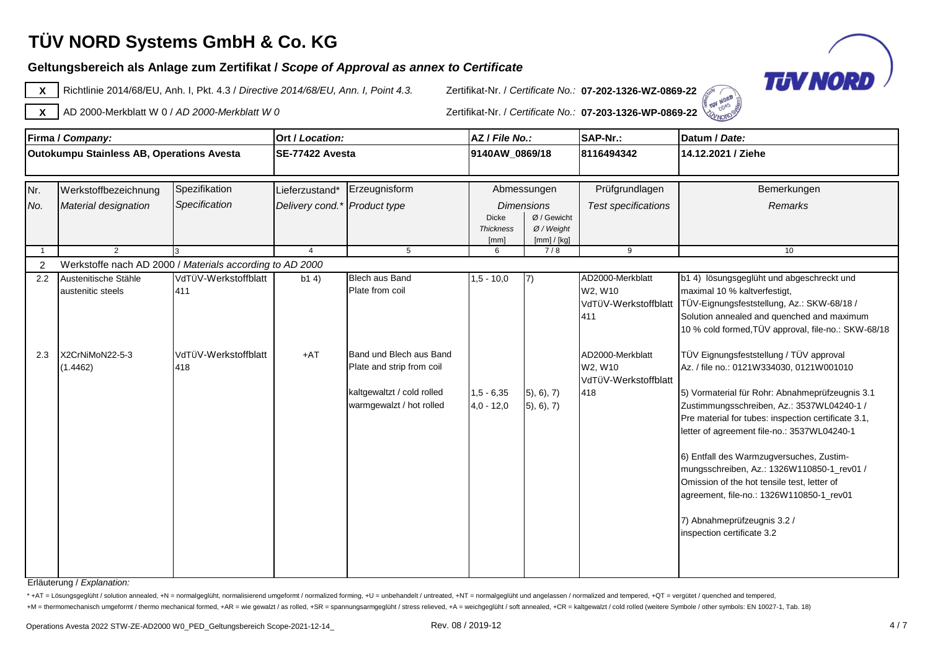### **Geltungsbereich als Anlage zum Zertifikat /** *Scope of Approval as annex to Certificate*



**X** Richtlinie 2014/68/EU, Anh. I, Pkt. 4.3 / *Directive 2014/68/EU, Ann. I, Point 4.3.* Zertifikat-Nr. / *Certificate No.:* **07-202-1326-WZ-0869-22**



NORD **X** AD 2000-Merkblatt W 0 / *AD 2000-Merkblatt W 0* Zertifikat-Nr. / *Certificate No.:* **07-203-1326-WP-0869-22**

|                                                  | Firma / Company:                                         |                             | Ort / Location:                 |                                                                                                                | AZ / File No.:                           |                                                                 | <b>SAP-Nr.:</b>                                            | Datum / Date:                                                                                                                                                                                                                                                                                                                                                                                                                                                                                                                                |
|--------------------------------------------------|----------------------------------------------------------|-----------------------------|---------------------------------|----------------------------------------------------------------------------------------------------------------|------------------------------------------|-----------------------------------------------------------------|------------------------------------------------------------|----------------------------------------------------------------------------------------------------------------------------------------------------------------------------------------------------------------------------------------------------------------------------------------------------------------------------------------------------------------------------------------------------------------------------------------------------------------------------------------------------------------------------------------------|
| <b>Outokumpu Stainless AB, Operations Avesta</b> |                                                          |                             | SE-77422 Avesta                 |                                                                                                                | 9140AW_0869/18                           |                                                                 | 8116494342                                                 | 14.12.2021 / Ziehe                                                                                                                                                                                                                                                                                                                                                                                                                                                                                                                           |
| Nr.                                              | Spezifikation<br>Werkstoffbezeichnung                    |                             | Erzeugnisform<br>Lieferzustand* |                                                                                                                | Abmessungen                              |                                                                 | Prüfgrundlagen                                             | Bemerkungen                                                                                                                                                                                                                                                                                                                                                                                                                                                                                                                                  |
| No.                                              | Material designation                                     | Specification               | Delivery cond.* Product type    |                                                                                                                | <b>Dicke</b><br><b>Thickness</b><br>[mm] | <b>Dimensions</b><br>Ø / Gewicht<br>$Ø$ / Weight<br>[mm] / [kg] | <b>Test specifications</b>                                 | Remarks                                                                                                                                                                                                                                                                                                                                                                                                                                                                                                                                      |
|                                                  | 2                                                        |                             | $\overline{4}$                  | 5                                                                                                              | 6                                        | 7/8                                                             | 9                                                          | 10                                                                                                                                                                                                                                                                                                                                                                                                                                                                                                                                           |
| 2                                                | Werkstoffe nach AD 2000 / Materials according to AD 2000 |                             |                                 |                                                                                                                |                                          |                                                                 |                                                            |                                                                                                                                                                                                                                                                                                                                                                                                                                                                                                                                              |
| 2.2                                              | Austenitische Stähle<br>austenitic steels                | VdTÜV-Werkstoffblatt<br>411 | b14)                            | Blech aus Band<br>Plate from coil                                                                              | $1,5 - 10,0$                             | 7)                                                              | AD2000-Merkblatt<br>W2, W10<br>VdTÜV-Werkstoffblatt<br>411 | b1 4) lösungsgeglüht und abgeschreckt und<br>maximal 10 % kaltverfestigt,<br>TÜV-Eignungsfeststellung, Az.: SKW-68/18 /<br>Solution annealed and quenched and maximum<br>10 % cold formed, TÜV approval, file-no.: SKW-68/18                                                                                                                                                                                                                                                                                                                 |
| 2.3                                              | X2CrNiMoN22-5-3<br>(1.4462)                              | VdTüV-Werkstoffblatt<br>418 | $+AT$                           | Band und Blech aus Band<br>Plate and strip from coil<br>kaltgewaltzt / cold rolled<br>warmgewalzt / hot rolled | $1,5 - 6,35$<br>$4,0 - 12,0$             | (5), 6), 7)<br>5, 6, 7)                                         | AD2000-Merkblatt<br>W2, W10<br>VdTÜV-Werkstoffblatt<br>418 | TÜV Eignungsfeststellung / TÜV approval<br>Az. / file no.: 0121W334030, 0121W001010<br>5) Vormaterial für Rohr: Abnahmeprüfzeugnis 3.1<br>Zustimmungsschreiben, Az.: 3537WL04240-1 /<br>Pre material for tubes: inspection certificate 3.1,<br>letter of agreement file-no.: 3537WL04240-1<br>6) Entfall des Warmzugversuches, Zustim-<br>mungsschreiben, Az.: 1326W110850-1_rev01 /<br>Omission of the hot tensile test, letter of<br>agreement, file-no.: 1326W110850-1_rev01<br>7) Abnahmeprüfzeugnis 3.2 /<br>inspection certificate 3.2 |

Erläuterung / *Explanation:*

\* +AT = Lösungsgeglüht / solution annealed, +N = normalgeglüht, normalisierend umgeformt / normalized forming, +U = unbehandelt / untreated, +NT = normalgeglüht und angelassen / normalized and tempered, +QT = vergütet / gu +M = thermomechanisch umgeformt / thermo mechanical formed, +AR = wie gewalzt / as rolled, +SR = spannungsarmgeglüht / stress relieved, +A = weichgeglüht / soft annealed, +CR = kaltgewalzt / cold rolled (weitere Symbole /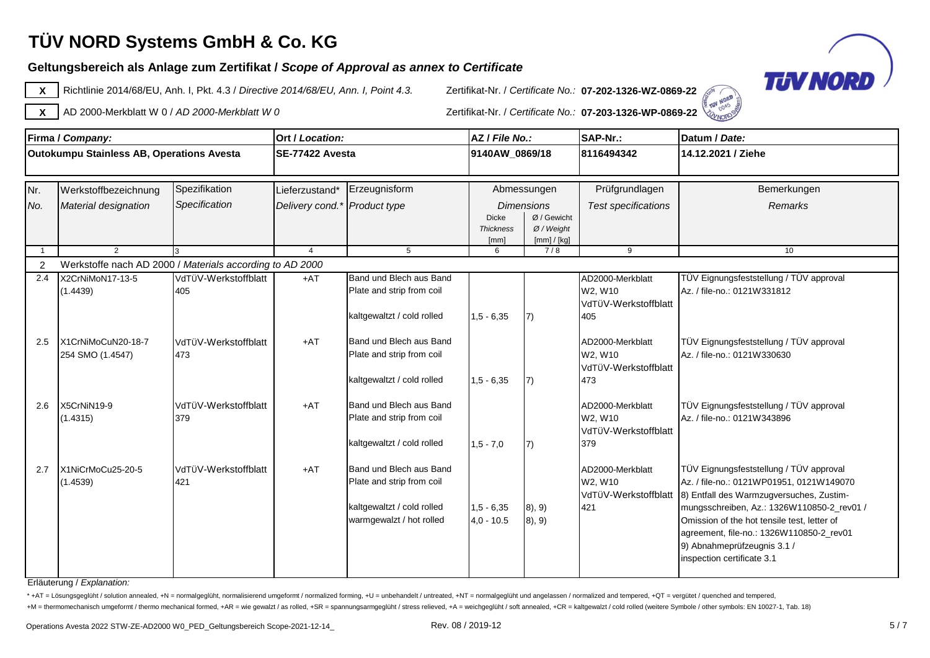### **Geltungsbereich als Anlage zum Zertifikat /** *Scope of Approval as annex to Certificate*



**X** Richtlinie 2014/68/EU, Anh. I, Pkt. 4.3 / *Directive 2014/68/EU, Ann. I, Point 4.3.* Zertifikat-Nr. / *Certificate No.:* **07-202-1326-WZ-0869-22**



**ELEVATORS X** AD 2000-Merkblatt W 0 / *AD 2000-Merkblatt W 0* Zertifikat-Nr. / *Certificate No.:* **07-203-1326-WP-0869-22**

|                | Firma / Company:                                         |                      | Ort / Location:              |                                                      | AZ / File No.:           |                             | SAP-Nr.:                        | Datum / Date:                                                          |
|----------------|----------------------------------------------------------|----------------------|------------------------------|------------------------------------------------------|--------------------------|-----------------------------|---------------------------------|------------------------------------------------------------------------|
|                | Outokumpu Stainless AB, Operations Avesta                |                      | <b>ISE-77422 Avesta</b>      |                                                      | 9140AW_0869/18           |                             | 8116494342                      | 14.12.2021 / Ziehe                                                     |
|                |                                                          |                      |                              |                                                      |                          |                             |                                 |                                                                        |
| Nr.            | Werkstoffbezeichnung                                     | Spezifikation        | Lieferzustand*               | Erzeugnisform                                        |                          | Abmessungen                 | Prüfgrundlagen                  | Bemerkungen                                                            |
| No.            | Material designation                                     | Specification        | Delivery cond.* Product type |                                                      |                          | <b>Dimensions</b>           | <b>Test specifications</b>      | Remarks                                                                |
|                |                                                          |                      |                              |                                                      | <b>Dicke</b>             | Ø / Gewicht                 |                                 |                                                                        |
|                |                                                          |                      |                              |                                                      | <b>Thickness</b><br>[mm] | $Ø$ / Weight<br>[mm] / [kg] |                                 |                                                                        |
| $\overline{1}$ | $\mathcal{P}$                                            |                      | $\overline{4}$               | $5^{\circ}$                                          | 6                        | 7/8                         | 9                               | 10                                                                     |
| $\overline{2}$ | Werkstoffe nach AD 2000 / Materials according to AD 2000 |                      |                              |                                                      |                          |                             |                                 |                                                                        |
| 2.4            | X2CrNiMoN17-13-5                                         | VdTÜV-Werkstoffblatt | $+AT$                        | Band und Blech aus Band                              |                          |                             | AD2000-Merkblatt                | TÜV Eignungsfeststellung / TÜV approval                                |
|                | (1.4439)                                                 | 405                  |                              | Plate and strip from coil                            |                          |                             | W2, W10                         | Az. / file-no.: 0121W331812                                            |
|                |                                                          |                      |                              |                                                      |                          |                             | VdTÜV-Werkstoffblatt            |                                                                        |
|                |                                                          |                      |                              | kaltgewaltzt / cold rolled                           | $1,5 - 6,35$             | 7)                          | 405                             |                                                                        |
| 2.5            | X1CrNiMoCuN20-18-7                                       | VdTÜV-Werkstoffblatt | $+AT$                        | Band und Blech aus Band                              |                          |                             | AD2000-Merkblatt                | TÜV Eignungsfeststellung / TÜV approval                                |
|                | 254 SMO (1.4547)                                         | 473                  |                              | Plate and strip from coil                            |                          |                             | W2, W10                         | Az. / file-no.: 0121W330630                                            |
|                |                                                          |                      |                              |                                                      |                          |                             | VdTÜV-Werkstoffblatt            |                                                                        |
|                |                                                          |                      |                              | kaltgewaltzt / cold rolled                           | $1,5 - 6,35$             | 7)                          | 473                             |                                                                        |
|                |                                                          |                      |                              |                                                      |                          |                             |                                 |                                                                        |
| 2.6            | X5CrNiN19-9                                              | VdTüV-Werkstoffblatt | $+AT$                        | Band und Blech aus Band<br>Plate and strip from coil |                          |                             | AD2000-Merkblatt                | TÜV Eignungsfeststellung / TÜV approval<br>Az. / file-no.: 0121W343896 |
|                | (1.4315)                                                 | 379                  |                              |                                                      |                          |                             | W2, W10<br>VdTÜV-Werkstoffblatt |                                                                        |
|                |                                                          |                      |                              | kaltgewaltzt / cold rolled                           | $1,5 - 7,0$              | 7)                          | 379                             |                                                                        |
|                |                                                          |                      |                              |                                                      |                          |                             |                                 |                                                                        |
| 2.7            | X1NiCrMoCu25-20-5                                        | VdTÜV-Werkstoffblatt | $+AT$                        | Band und Blech aus Band                              |                          |                             | AD2000-Merkblatt                | TÜV Eignungsfeststellung / TÜV approval                                |
|                | (1.4539)                                                 | 421                  |                              | Plate and strip from coil                            |                          |                             | W2, W10                         | Az. / file-no.: 0121WP01951, 0121W149070                               |
|                |                                                          |                      |                              |                                                      |                          |                             | VdTÜV-Werkstoffblatt            | 8) Entfall des Warmzugversuches, Zustim-                               |
|                |                                                          |                      |                              | kaltgewaltzt / cold rolled                           | $1,5 - 6,35$             | (8), 9)                     | 421                             | mungsschreiben, Az.: 1326W110850-2_rev01 /                             |
|                |                                                          |                      |                              | warmgewalzt / hot rolled                             | $4,0 - 10.5$             | (8), 9)                     |                                 | Omission of the hot tensile test, letter of                            |
|                |                                                          |                      |                              |                                                      |                          |                             |                                 | agreement, file-no.: 1326W110850-2 rev01                               |
|                |                                                          |                      |                              |                                                      |                          |                             |                                 | 9) Abnahmeprüfzeugnis 3.1 /                                            |
|                |                                                          |                      |                              |                                                      |                          |                             |                                 | inspection certificate 3.1                                             |
|                |                                                          |                      |                              |                                                      |                          |                             |                                 |                                                                        |

Erläuterung / *Explanation:*

\* +AT = Lösungsgeglüht / solution annealed, +N = normalgeglüht, normalisierend umgeformt / normalized forming, +U = unbehandelt / untreated, +NT = normalgeglüht und angelassen / normalized and tempered, +QT = vergütet / gu +M = thermomechanisch umgeformt / thermo mechanical formed, +AR = wie gewalzt / as rolled, +SR = spannungsarmgeglüht / stress relieved, +A = weichgeglüht / soft annealed, +CR = kaltgewalzt / cold rolled (weitere Symbole /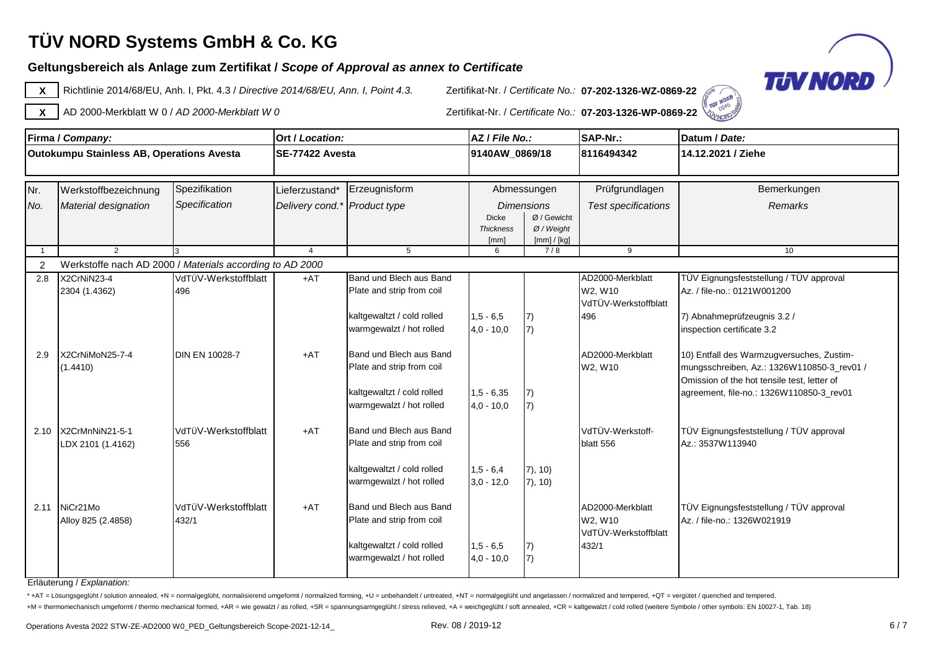### **Geltungsbereich als Anlage zum Zertifikat /** *Scope of Approval as annex to Certificate*



**X** Richtlinie 2014/68/EU, Anh. I, Pkt. 4.3 / *Directive 2014/68/EU, Ann. I, Point 4.3.* Zertifikat-Nr. / *Certificate No.:* **07-202-1326-WZ-0869-22**



**X** AD 2000-Merkblatt W 0 / *AD 2000-Merkblatt W 0* Zertifikat-Nr. / *Certificate No.:* **07-203-1326-WP-0869-22**

|                | Firma / Company:                                         |                       | Ort / Location:              |                            | AZ / File No.:           |                             | SAP-Nr.:                   | Datum / Date:                               |
|----------------|----------------------------------------------------------|-----------------------|------------------------------|----------------------------|--------------------------|-----------------------------|----------------------------|---------------------------------------------|
|                | Outokumpu Stainless AB, Operations Avesta                |                       | SE-77422 Avesta              |                            | 9140AW_0869/18           |                             | 8116494342                 | 14.12.2021 / Ziehe                          |
|                |                                                          |                       |                              |                            |                          |                             |                            |                                             |
| Nr.            | Werkstoffbezeichnung                                     | Spezifikation         | Lieferzustand*               | Erzeugnisform              |                          | Abmessungen                 | Prüfgrundlagen             | Bemerkungen                                 |
| No.            | Material designation                                     | Specification         | Delivery cond.* Product type |                            |                          | <b>Dimensions</b>           | <b>Test specifications</b> | Remarks                                     |
|                |                                                          |                       |                              |                            | <b>Dicke</b>             | Ø / Gewicht                 |                            |                                             |
|                |                                                          |                       |                              |                            | <b>Thickness</b><br>[mm] | $Ø$ / Weight<br>[mm] / [kg] |                            |                                             |
| $\overline{1}$ | $\mathcal{P}$                                            |                       | $\overline{4}$               | 5                          | 6                        | 7/8                         | 9                          | 10                                          |
| 2              | Werkstoffe nach AD 2000 / Materials according to AD 2000 |                       |                              |                            |                          |                             |                            |                                             |
| 2.8            | X2CrNiN23-4                                              | VdTÜV-Werkstoffblatt  | $+AT$                        | Band und Blech aus Band    |                          |                             | AD2000-Merkblatt           | TÜV Eignungsfeststellung / TÜV approval     |
|                | 2304 (1.4362)                                            | 496                   |                              | Plate and strip from coil  |                          |                             | W2. W10                    | Az. / file-no.: 0121W001200                 |
|                |                                                          |                       |                              |                            |                          |                             | VdTÜV-Werkstoffblatt       |                                             |
|                |                                                          |                       |                              | kaltgewaltzt / cold rolled | $1,5 - 6,5$              | 7)                          | 496                        | 7) Abnahmeprüfzeugnis 3.2 /                 |
|                |                                                          |                       |                              | warmgewalzt / hot rolled   | $4,0 - 10,0$             | 7)                          |                            | inspection certificate 3.2                  |
| 2.9            | X2CrNiMoN25-7-4                                          | <b>DIN EN 10028-7</b> | $+AT$                        | Band und Blech aus Band    |                          |                             | AD2000-Merkblatt           | 10) Entfall des Warmzugversuches, Zustim-   |
|                | (1.4410)                                                 |                       |                              | Plate and strip from coil  |                          |                             | W2, W10                    | mungsschreiben, Az.: 1326W110850-3_rev01 /  |
|                |                                                          |                       |                              |                            |                          |                             |                            | Omission of the hot tensile test, letter of |
|                |                                                          |                       |                              | kaltgewaltzt / cold rolled | $1,5 - 6,35$             | 7)                          |                            | agreement, file-no.: 1326W110850-3_rev01    |
|                |                                                          |                       |                              | warmgewalzt / hot rolled   | $4.0 - 10.0$             | 7)                          |                            |                                             |
|                |                                                          |                       |                              |                            |                          |                             |                            |                                             |
| 2.10           | X2CrMnNiN21-5-1                                          | VdTÜV-Werkstoffblatt  | $+AT$                        | Band und Blech aus Band    |                          |                             | VdTÜV-Werkstoff-           | TÜV Eignungsfeststellung / TÜV approval     |
|                | LDX 2101 (1.4162)                                        | 556                   |                              | Plate and strip from coil  |                          |                             | blatt 556                  | Az.: 3537W113940                            |
|                |                                                          |                       |                              | kaltgewaltzt / cold rolled | $1,5 - 6,4$              | 7), 10)                     |                            |                                             |
|                |                                                          |                       |                              | warmgewalzt / hot rolled   | $3,0 - 12,0$             | 7), 10)                     |                            |                                             |
|                |                                                          |                       |                              |                            |                          |                             |                            |                                             |
| 2.11           | NiCr21Mo                                                 | VdTÜV-Werkstoffblatt  | $+AT$                        | Band und Blech aus Band    |                          |                             | AD2000-Merkblatt           | TÜV Eignungsfeststellung / TÜV approval     |
|                | Alloy 825 (2.4858)                                       | 432/1                 |                              | Plate and strip from coil  |                          |                             | W2, W10                    | Az. / file-no.: 1326W021919                 |
|                |                                                          |                       |                              |                            |                          |                             | VdTÜV-Werkstoffblatt       |                                             |
|                |                                                          |                       |                              | kaltgewaltzt / cold rolled | $1,5 - 6,5$              | 7)                          | 432/1                      |                                             |
|                |                                                          |                       |                              | warmgewalzt / hot rolled   | $4,0 - 10,0$             | 7)                          |                            |                                             |
|                |                                                          |                       |                              |                            |                          |                             |                            |                                             |

Erläuterung / *Explanation:*

\* +AT = Lösungsgeglüht / solution annealed, +N = normalgeglüht, normalisierend umgeformt / normalized forming, +U = unbehandelt / untreated, +NT = normalgeglüht und angelassen / normalized and tempered, +QT = vergütet / qu +M = thermomechanisch umgeformt / thermo mechanical formed, +AR = wie gewalzt / as rolled, +SR = spannungsarmgeglüht / stress relieved, +A = weichgeglüht / soft annealed, +CR = kaltgewalzt / cold rolled (weitere Symbole /